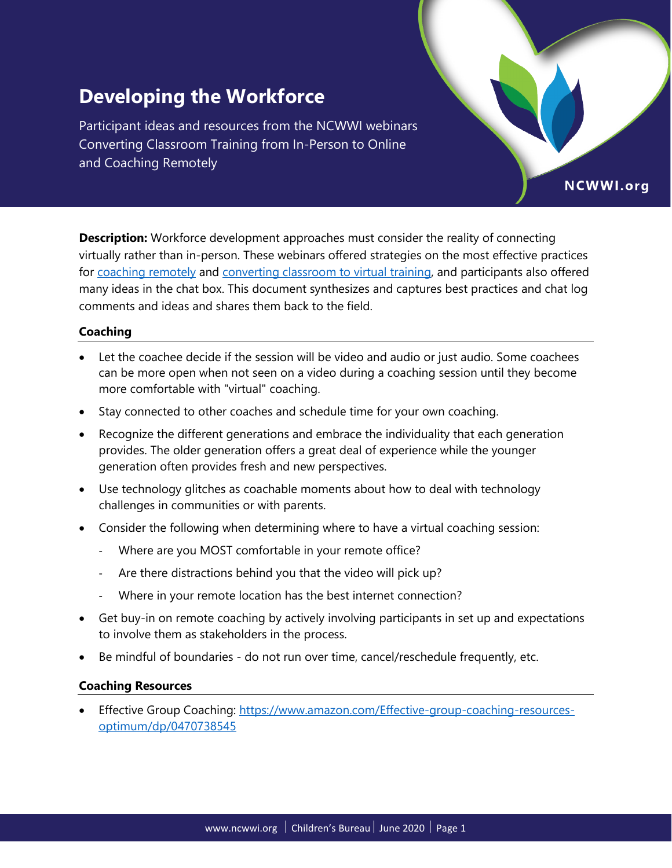# **Developing the Workforce**

Participant ideas and resources from the NCWWI webinars Converting Classroom Training from In-Person to Online and Coaching Remotely

**Description:** Workforce development approaches must consider the reality of connecting virtually rather than in-person. These webinars offered strategies on the most effective practices for [coaching remotely](https://ncwwi.org/supporting-the-virtual-workforce-session-5) and [converting classroom to virtual training,](https://ncwwi.org/supporting-the-virtual-workforce-session-4) and participants also offered many ideas in the chat box. This document synthesizes and captures best practices and chat log comments and ideas and shares them back to the field.

NCWWI.org

### **Coaching**

- Let the coachee decide if the session will be video and audio or just audio. Some coachees can be more open when not seen on a video during a coaching session until they become more comfortable with "virtual" coaching.
- Stay connected to other coaches and schedule time for your own coaching.
- Recognize the different generations and embrace the individuality that each generation provides. The older generation offers a great deal of experience while the younger generation often provides fresh and new perspectives.
- Use technology glitches as coachable moments about how to deal with technology challenges in communities or with parents.
- Consider the following when determining where to have a virtual coaching session:
	- ‐ Where are you MOST comfortable in your remote office?
	- ‐ Are there distractions behind you that the video will pick up?
	- ‐ Where in your remote location has the best internet connection?
- Get buy-in on remote coaching by actively involving participants in set up and expectations to involve them as stakeholders in the process.
- Be mindful of boundaries do not run over time, cancel/reschedule frequently, etc.

### **Coaching Resources**

Effective Group Coaching: [https://www.amazon.com/Effective-group-coaching-resources](https://www.amazon.com/Effective-group-coaching-resources-optimum/dp/0470738545)[optimum/dp/0470738545](https://www.amazon.com/Effective-group-coaching-resources-optimum/dp/0470738545)